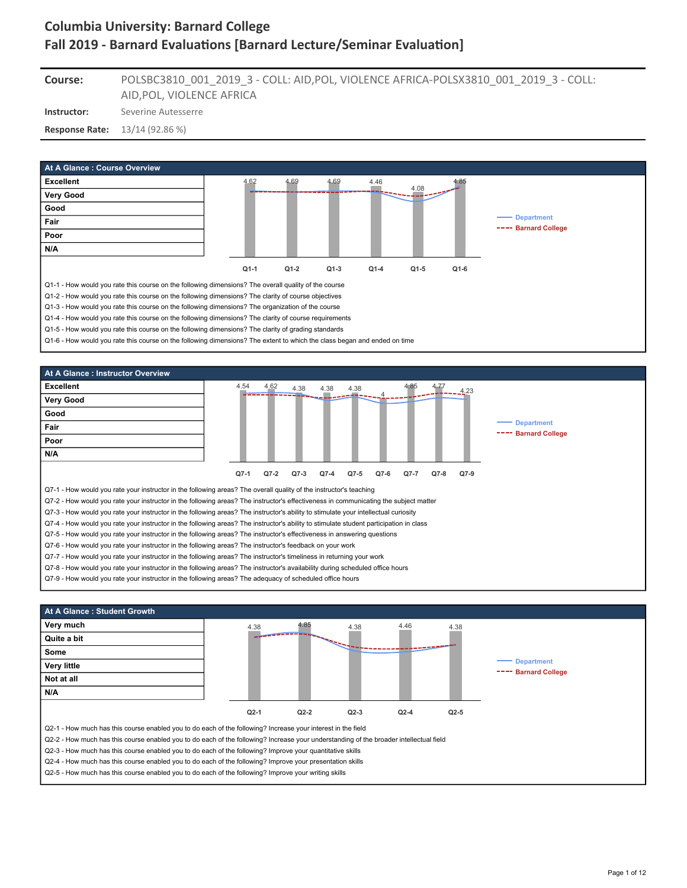POLSBC3810\_001\_2019\_3 - COLL: AID,POL, VIOLENCE AFRICA-POLSX3810\_001\_2019\_3 - COLL: **Course:**

AID,POL, VIOLENCE AFRICA

**Instructor:** Severine Autesserre

**Response Rate:** 13/14 (92.86 %)





Q7-9 - How would you rate your instructor in the following areas? The adequacy of scheduled office hours



Q2-5 - How much has this course enabled you to do each of the following? Improve your writing skills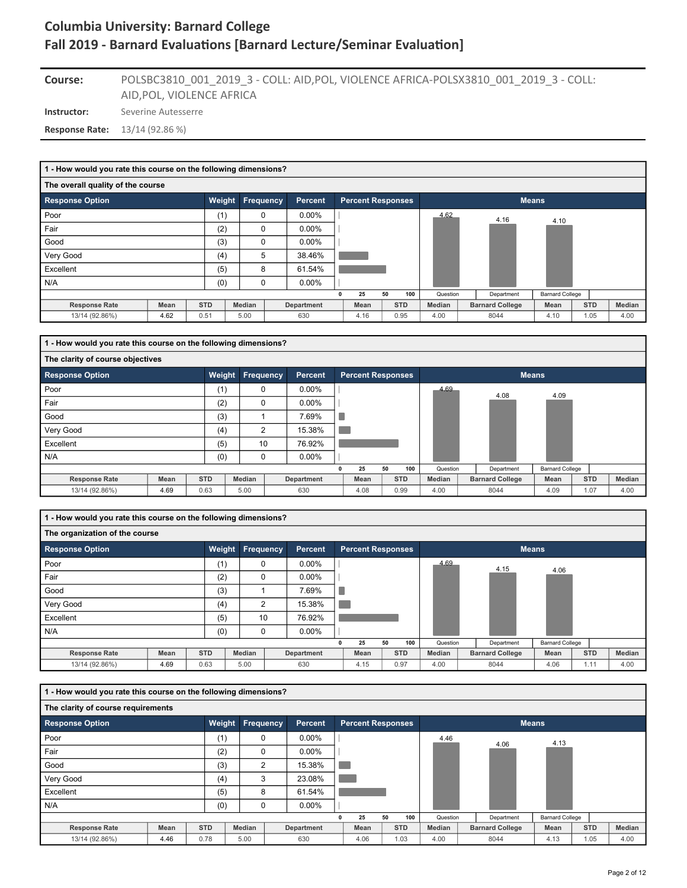### POLSBC3810\_001\_2019\_3 - COLL: AID,POL, VIOLENCE AFRICA-POLSX3810\_001\_2019\_3 - COLL: AID,POL, VIOLENCE AFRICA **Course:**

**Instructor:** Severine Autesserre

**Response Rate:** 13/14 (92.86 %)

|                                   | 1 - How would you rate this course on the following dimensions? |            |                  |                |  |                          |    |            |          |  |                        |                        |            |        |  |
|-----------------------------------|-----------------------------------------------------------------|------------|------------------|----------------|--|--------------------------|----|------------|----------|--|------------------------|------------------------|------------|--------|--|
| The overall quality of the course |                                                                 |            |                  |                |  |                          |    |            |          |  |                        |                        |            |        |  |
| <b>Response Option</b>            |                                                                 | Weight     | <b>Frequency</b> | <b>Percent</b> |  | <b>Percent Responses</b> |    |            |          |  | <b>Means</b>           |                        |            |        |  |
| Poor                              |                                                                 | (1)        | 0                | 0.00%          |  |                          |    |            | 4.62     |  | 4.16                   | 4.10                   |            |        |  |
| Fair                              |                                                                 | (2)        | 0                | $0.00\%$       |  |                          |    |            |          |  |                        |                        |            |        |  |
| Good                              |                                                                 | (3)        | 0                | $0.00\%$       |  |                          |    |            |          |  |                        |                        |            |        |  |
| Very Good                         |                                                                 | (4)        | 5                | 38.46%         |  |                          |    |            |          |  |                        |                        |            |        |  |
| Excellent                         |                                                                 | (5)        | 8                | 61.54%         |  |                          |    |            |          |  |                        |                        |            |        |  |
| N/A                               |                                                                 | (0)        | 0                | $0.00\%$       |  |                          |    |            |          |  |                        |                        |            |        |  |
|                                   |                                                                 |            |                  |                |  | 25                       | 50 | 100        | Question |  | Department             | <b>Barnard College</b> |            |        |  |
| <b>Response Rate</b>              | Mean                                                            | <b>STD</b> | Median           | Department     |  | Mean                     |    | <b>STD</b> | Median   |  | <b>Barnard College</b> | Mean                   | <b>STD</b> | Median |  |
| 13/14 (92.86%)                    | 4.62                                                            | 0.51       | 5.00             | 630            |  | 4.16                     |    | 0.95       | 4.00     |  | 8044                   | 4.10                   | 1.05       | 4.00   |  |

| 1 - How would you rate this course on the following dimensions? |      |            |           |                |                          |    |            |               |                        |                        |            |        |
|-----------------------------------------------------------------|------|------------|-----------|----------------|--------------------------|----|------------|---------------|------------------------|------------------------|------------|--------|
| The clarity of course objectives                                |      |            |           |                |                          |    |            |               |                        |                        |            |        |
| <b>Response Option</b>                                          |      | Weight     | Frequency | <b>Percent</b> | <b>Percent Responses</b> |    |            |               |                        | <b>Means</b>           |            |        |
| Poor                                                            |      | (1)        | $\Omega$  | $0.00\%$       |                          |    |            | 4.69          | 4.08                   | 4.09                   |            |        |
| Fair                                                            |      | (2)        | 0         | $0.00\%$       |                          |    |            |               |                        |                        |            |        |
| Good                                                            |      | (3)        |           | 7.69%          |                          |    |            |               |                        |                        |            |        |
| Very Good                                                       |      | (4)        | 2         | 15.38%         |                          |    |            |               |                        |                        |            |        |
| Excellent                                                       |      | (5)        | 10        | 76.92%         |                          |    |            |               |                        |                        |            |        |
| N/A                                                             |      | (0)        | 0         | $0.00\%$       |                          |    |            |               |                        |                        |            |        |
|                                                                 |      |            |           |                | 25                       | 50 | 100        | Question      | Department             | <b>Barnard College</b> |            |        |
| <b>Response Rate</b>                                            | Mean | <b>STD</b> | Median    | Department     | Mean                     |    | <b>STD</b> | <b>Median</b> | <b>Barnard College</b> | Mean                   | <b>STD</b> | Median |
| 13/14 (92.86%)                                                  | 4.69 | 0.63       | 5.00      | 630            | 4.08                     |    | 0.99       | 4.00          | 8044                   | 4.09                   | 1.07       | 4.00   |

**1 - How would you rate this course on the following dimensions?**

| The organization of the course |             |            |        |                  |                |              |                          |    |            |          |                        |                        |            |        |
|--------------------------------|-------------|------------|--------|------------------|----------------|--------------|--------------------------|----|------------|----------|------------------------|------------------------|------------|--------|
| <b>Response Option</b>         |             | Weight     |        | <b>Frequency</b> | <b>Percent</b> |              | <b>Percent Responses</b> |    |            |          |                        | <b>Means</b>           |            |        |
| Poor                           |             | (1)        | 0      |                  | $0.00\%$       |              |                          |    |            | 4.69     | 4.15                   | 4.06                   |            |        |
| Fair                           |             | (2)        | 0      |                  | $0.00\%$       |              |                          |    |            |          |                        |                        |            |        |
| Good                           |             | (3)        |        |                  | 7.69%          | ٠            |                          |    |            |          |                        |                        |            |        |
| Very Good                      |             | (4)        |        | 2                | 15.38%         |              |                          |    |            |          |                        |                        |            |        |
| Excellent                      |             | (5)        |        | 10               | 76.92%         |              |                          |    |            |          |                        |                        |            |        |
| N/A                            |             | (0)        | 0      |                  | 0.00%          |              |                          |    |            |          |                        |                        |            |        |
|                                |             |            |        |                  |                | $\mathbf{0}$ | 25                       | 50 | 100        | Question | Department             | <b>Barnard College</b> |            |        |
| <b>Response Rate</b>           | <b>Mean</b> | <b>STD</b> | Median |                  | Department     |              | Mean                     |    | <b>STD</b> | Median   | <b>Barnard College</b> | Mean                   | <b>STD</b> | Median |
| 13/14 (92.86%)                 | 4.69        | 0.63       | 5.00   |                  | 630            |              | 4.15                     |    | 0.97       | 4.00     | 8044                   | 4.06                   | 1.11       | 4.00   |

| 1 - How would you rate this course on the following dimensions? |      |            |           |                |                          |    |            |          |                        |                        |            |        |
|-----------------------------------------------------------------|------|------------|-----------|----------------|--------------------------|----|------------|----------|------------------------|------------------------|------------|--------|
| The clarity of course requirements                              |      |            |           |                |                          |    |            |          |                        |                        |            |        |
| <b>Response Option</b>                                          |      | Weight     | Frequency | <b>Percent</b> | <b>Percent Responses</b> |    |            |          |                        | <b>Means</b>           |            |        |
| Poor                                                            |      | (1)        | 0         | $0.00\%$       |                          |    |            | 4.46     | 4.06                   | 4.13                   |            |        |
| Fair                                                            |      | (2)        | $\Omega$  | $0.00\%$       |                          |    |            |          |                        |                        |            |        |
| Good                                                            |      | (3)        | 2         | 15.38%         |                          |    |            |          |                        |                        |            |        |
| Very Good                                                       |      | (4)        | 3         | 23.08%         |                          |    |            |          |                        |                        |            |        |
| Excellent                                                       |      | (5)        | 8         | 61.54%         |                          |    |            |          |                        |                        |            |        |
| N/A                                                             |      | (0)        | 0         | $0.00\%$       |                          |    |            |          |                        |                        |            |        |
|                                                                 |      |            |           |                | 25                       | 50 | 100        | Question | Department             | <b>Barnard College</b> |            |        |
| <b>Response Rate</b>                                            | Mean | <b>STD</b> | Median    | Department     | Mean                     |    | <b>STD</b> | Median   | <b>Barnard College</b> | Mean                   | <b>STD</b> | Median |
| 13/14 (92.86%)                                                  | 4.46 | 0.78       | 5.00      | 630            | 4.06                     |    | 1.03       | 4.00     | 8044                   | 4.13                   | 1.05       | 4.00   |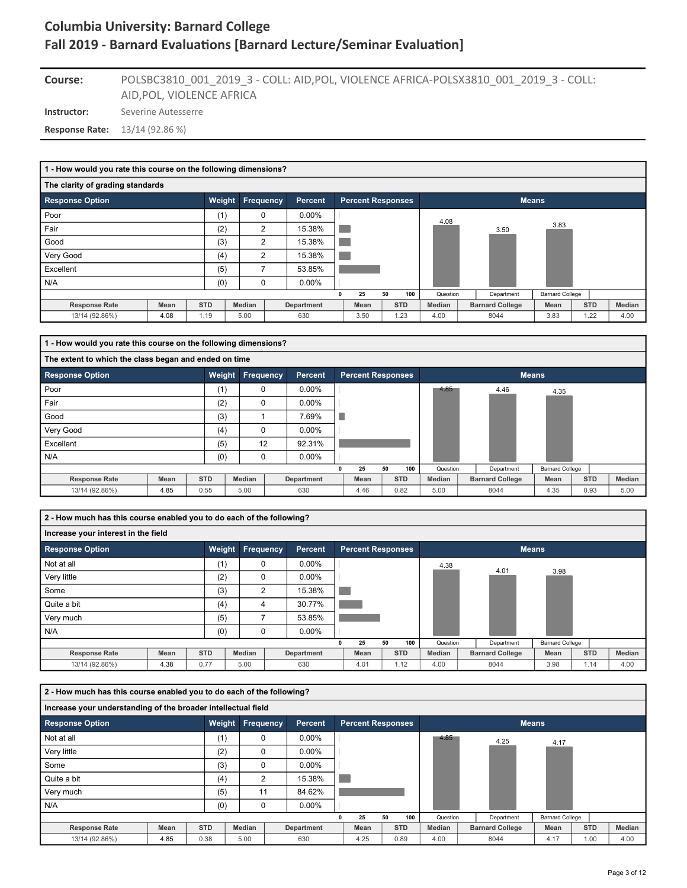### POLSBC3810\_001\_2019\_3 - COLL: AID,POL, VIOLENCE AFRICA-POLSX3810\_001\_2019\_3 - COLL: AID,POL, VIOLENCE AFRICA **Course:**

**Instructor:** Severine Autesserre

**Response Rate:** 13/14 (92.86 %)

| 1 - How would you rate this course on the following dimensions? |             |            |                |                |                          |    |            |          |                        |                        |            |      |        |
|-----------------------------------------------------------------|-------------|------------|----------------|----------------|--------------------------|----|------------|----------|------------------------|------------------------|------------|------|--------|
| The clarity of grading standards                                |             |            |                |                |                          |    |            |          |                        |                        |            |      |        |
| <b>Response Option</b>                                          |             | Weight     | Frequency      | <b>Percent</b> | <b>Percent Responses</b> |    |            |          | <b>Means</b>           |                        |            |      |        |
| Poor                                                            |             | (1)        | 0              | $0.00\%$       |                          |    |            | 4.08     |                        |                        |            |      |        |
| Fair                                                            |             | (2)        | $\overline{2}$ | 15.38%         |                          |    |            |          | 3.50                   | 3.83                   |            |      |        |
| Good                                                            |             | (3)        | $\overline{2}$ | 15.38%         |                          |    |            |          |                        |                        |            |      |        |
| Very Good                                                       |             | (4)        | $\overline{2}$ | 15.38%         |                          |    |            |          |                        |                        |            |      |        |
| Excellent                                                       |             | (5)        | 7              | 53.85%         |                          |    |            |          |                        |                        |            |      |        |
| N/A                                                             |             | (0)        | 0              | $0.00\%$       |                          |    |            |          |                        |                        |            |      |        |
|                                                                 |             |            |                |                | 25                       | 50 | 100        | Question | Department             | <b>Barnard College</b> |            |      |        |
| <b>Response Rate</b>                                            | <b>Mean</b> | <b>STD</b> | Median         | Department     | Mean                     |    | <b>STD</b> | Median   | <b>Barnard College</b> | Mean                   | <b>STD</b> |      | Median |
| 13/14 (92.86%)                                                  | 4.08        | 1.19       | 5.00           | 630            | 3.50                     |    | 1.23       | 4.00     | 8044                   | 3.83                   |            | 1.22 | 4.00   |

| 1 - How would you rate this course on the following dimensions? |      |            |        |           |                |                          |    |            |          |                        |                        |            |        |
|-----------------------------------------------------------------|------|------------|--------|-----------|----------------|--------------------------|----|------------|----------|------------------------|------------------------|------------|--------|
| The extent to which the class began and ended on time           |      |            |        |           |                |                          |    |            |          |                        |                        |            |        |
| <b>Response Option</b>                                          |      | Weight     |        | Frequency | <b>Percent</b> | <b>Percent Responses</b> |    |            |          |                        | <b>Means</b>           |            |        |
| Poor                                                            |      | (1)        |        | 0         | $0.00\%$       |                          |    |            | 4.85     | 4.46                   | 4.35                   |            |        |
| Fair                                                            |      | (2)        |        | $\Omega$  | $0.00\%$       |                          |    |            |          |                        |                        |            |        |
| Good                                                            |      | (3)        |        |           | 7.69%          |                          |    |            |          |                        |                        |            |        |
| Very Good                                                       |      | (4)        |        | 0         | $0.00\%$       |                          |    |            |          |                        |                        |            |        |
| Excellent                                                       |      | (5)        |        | 12        | 92.31%         |                          |    |            |          |                        |                        |            |        |
| N/A                                                             |      | (0)        |        | $\Omega$  | $0.00\%$       |                          |    |            |          |                        |                        |            |        |
|                                                                 |      |            |        |           |                | 25                       | 50 | 100        | Question | Department             | <b>Barnard College</b> |            |        |
| <b>Response Rate</b>                                            | Mean | <b>STD</b> | Median |           | Department     | Mean                     |    | <b>STD</b> | Median   | <b>Barnard College</b> | Mean                   | <b>STD</b> | Median |
| 13/14 (92.86%)                                                  | 4.85 | 0.55       | 5.00   |           | 630            | 4.46                     |    | 0.82       | 5.00     | 8044                   | 4.35                   | 0.93       | 5.00   |

**2 - How much has this course enabled you to do each of the following?**

| Increase your interest in the field |             |            |                  |                |   |                          |    |            |          |                        |                        |            |        |
|-------------------------------------|-------------|------------|------------------|----------------|---|--------------------------|----|------------|----------|------------------------|------------------------|------------|--------|
| <b>Response Option</b>              |             | Weight     | <b>Frequency</b> | <b>Percent</b> |   | <b>Percent Responses</b> |    |            |          |                        | <b>Means</b>           |            |        |
| Not at all                          |             | (1)        | 0                | $0.00\%$       |   |                          |    |            | 4.38     | 4.01                   |                        |            |        |
| Very little                         |             | (2)        | 0                | $0.00\%$       |   |                          |    |            |          |                        | 3.98                   |            |        |
| Some                                |             | (3)        | $\overline{2}$   | 15.38%         |   |                          |    |            |          |                        |                        |            |        |
| Quite a bit                         |             | (4)        | 4                | 30.77%         |   |                          |    |            |          |                        |                        |            |        |
| Very much                           |             | (5)        |                  | 53.85%         |   |                          |    |            |          |                        |                        |            |        |
| N/A                                 |             | (0)        | 0                | $0.00\%$       |   |                          |    |            |          |                        |                        |            |        |
|                                     |             |            |                  |                | 0 | 25                       | 50 | 100        | Question | Department             | <b>Barnard College</b> |            |        |
| <b>Response Rate</b>                | <b>Mean</b> | <b>STD</b> | Median           | Department     |   | Mean                     |    | <b>STD</b> | Median   | <b>Barnard College</b> | Mean                   | <b>STD</b> | Median |
| 13/14 (92.86%)                      | 4.38        | 0.77       | 5.00             | 630            |   | 4.01                     |    | 1.12       | 4.00     | 8044                   | 3.98                   | 1.14       | 4.00   |

| 2 - How much has this course enabled you to do each of the following? |      |            |        |                  |            |                          |    |            |               |                        |                        |            |        |
|-----------------------------------------------------------------------|------|------------|--------|------------------|------------|--------------------------|----|------------|---------------|------------------------|------------------------|------------|--------|
| Increase your understanding of the broader intellectual field         |      |            |        |                  |            |                          |    |            |               |                        |                        |            |        |
| <b>Response Option</b>                                                |      |            |        | Weight Frequency | Percent    | <b>Percent Responses</b> |    |            |               |                        | <b>Means</b>           |            |        |
| Not at all                                                            |      |            | (1)    | $\Omega$         | $0.00\%$   |                          |    |            | 4.85          | 4.25                   | 4.17                   |            |        |
| Very little                                                           |      |            | (2)    | $\Omega$         | 0.00%      |                          |    |            |               |                        |                        |            |        |
| Some                                                                  |      |            | (3)    | $\Omega$         | $0.00\%$   |                          |    |            |               |                        |                        |            |        |
| Quite a bit                                                           |      |            | (4)    | $\overline{2}$   | 15.38%     |                          |    |            |               |                        |                        |            |        |
| Very much                                                             |      |            | (5)    | 11               | 84.62%     |                          |    |            |               |                        |                        |            |        |
| N/A                                                                   |      |            | (0)    | $\Omega$         | $0.00\%$   |                          |    |            |               |                        |                        |            |        |
|                                                                       |      |            |        |                  |            | 25                       | 50 | 100        | Question      | Department             | <b>Barnard College</b> |            |        |
| <b>Response Rate</b>                                                  | Mean | <b>STD</b> | Median |                  | Department | Mean                     |    | <b>STD</b> | <b>Median</b> | <b>Barnard College</b> | Mean                   | <b>STD</b> | Median |
| 13/14 (92.86%)                                                        | 4.85 | 0.38       | 5.00   |                  | 630        | 4.25                     |    | 0.89       | 4.00          | 8044                   | 4.17                   | 1.00       | 4.00   |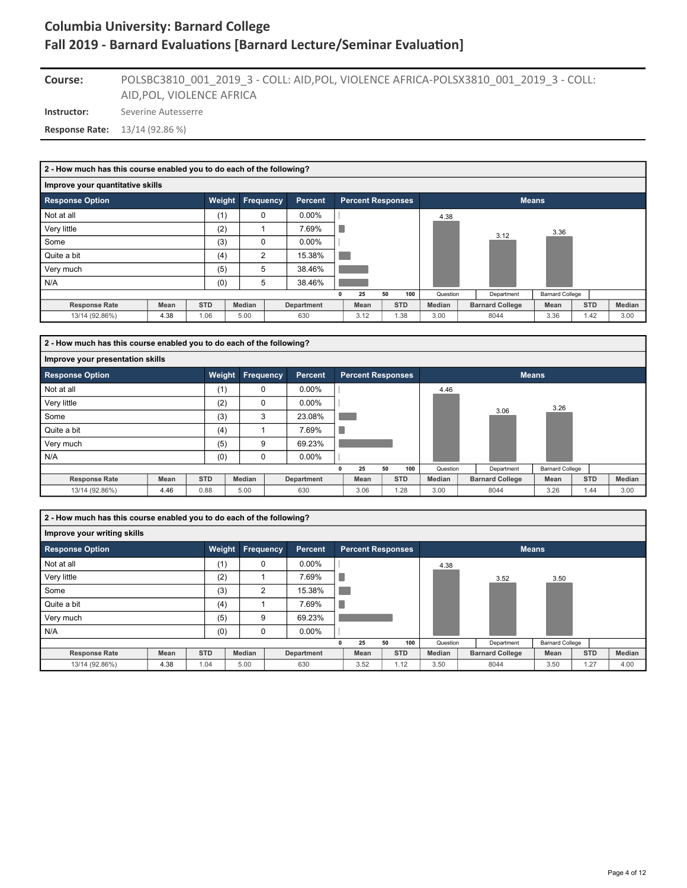### POLSBC3810\_001\_2019\_3 - COLL: AID,POL, VIOLENCE AFRICA-POLSX3810\_001\_2019\_3 - COLL: AID,POL, VIOLENCE AFRICA **Course:**

**Instructor:** Severine Autesserre

**Response Rate:** 13/14 (92.86 %)

| 2 - How much has this course enabled you to do each of the following? |      |            |                  |                |   |                          |    |            |               |                        |                        |            |        |
|-----------------------------------------------------------------------|------|------------|------------------|----------------|---|--------------------------|----|------------|---------------|------------------------|------------------------|------------|--------|
| Improve your quantitative skills                                      |      |            |                  |                |   |                          |    |            |               |                        |                        |            |        |
| <b>Response Option</b>                                                |      | Weight     | <b>Frequency</b> | <b>Percent</b> |   | <b>Percent Responses</b> |    |            |               |                        | <b>Means</b>           |            |        |
| Not at all                                                            |      | (1)        | 0                | $0.00\%$       |   |                          |    |            | 4.38          |                        |                        |            |        |
| Very little                                                           |      | (2)        |                  | 7.69%          | × |                          |    |            |               | 3.12                   | 3.36                   |            |        |
| Some                                                                  |      | (3)        | $\Omega$         | $0.00\%$       |   |                          |    |            |               |                        |                        |            |        |
| Quite a bit                                                           |      | (4)        | 2                | 15.38%         |   |                          |    |            |               |                        |                        |            |        |
| Very much                                                             |      | (5)        | 5                | 38.46%         |   |                          |    |            |               |                        |                        |            |        |
| N/A                                                                   |      | (0)        | 5                | 38.46%         |   |                          |    |            |               |                        |                        |            |        |
|                                                                       |      |            |                  |                |   | 25                       | 50 | 100        | Question      | Department             | <b>Barnard College</b> |            |        |
| <b>Response Rate</b>                                                  | Mean | <b>STD</b> | Median           | Department     |   | Mean                     |    | <b>STD</b> | <b>Median</b> | <b>Barnard College</b> | Mean                   | <b>STD</b> | Median |
| 13/14 (92.86%)                                                        | 4.38 | 1.06       | 5.00             | 630            |   | 3.12                     |    | 1.38       | 3.00          | 8044                   | 3.36                   | 1.42       | 3.00   |
|                                                                       |      |            |                  |                |   |                          |    |            |               |                        |                        |            |        |

| 2 - How much has this course enabled you to do each of the following? |      |            |           |                |                          |    |            |               |                        |                        |            |        |
|-----------------------------------------------------------------------|------|------------|-----------|----------------|--------------------------|----|------------|---------------|------------------------|------------------------|------------|--------|
| Improve your presentation skills                                      |      |            |           |                |                          |    |            |               |                        |                        |            |        |
| <b>Response Option</b>                                                |      | Weight     | Frequency | <b>Percent</b> | <b>Percent Responses</b> |    |            |               | <b>Means</b>           |                        |            |        |
| Not at all                                                            |      | (1)        | $\Omega$  | $0.00\%$       |                          |    |            | 4.46          |                        |                        |            |        |
| Very little                                                           |      | (2)        | $\Omega$  | $0.00\%$       |                          |    |            |               |                        | 3.26                   |            |        |
| Some                                                                  |      | (3)        | 3         | 23.08%         |                          |    |            |               | 3.06                   |                        |            |        |
| Quite a bit                                                           |      | (4)        |           | 7.69%          |                          |    |            |               |                        |                        |            |        |
| Very much                                                             |      | (5)        | 9         | 69.23%         |                          |    |            |               |                        |                        |            |        |
| N/A                                                                   |      | (0)        | 0         | $0.00\%$       |                          |    |            |               |                        |                        |            |        |
|                                                                       |      |            |           |                | 25                       | 50 | 100        | Question      | Department             | <b>Barnard College</b> |            |        |
| <b>Response Rate</b>                                                  | Mean | <b>STD</b> | Median    | Department     | Mean                     |    | <b>STD</b> | <b>Median</b> | <b>Barnard College</b> | Mean                   | <b>STD</b> | Median |
| 13/14 (92.86%)                                                        | 4.46 | 0.88       | 5.00      | 630            | 3.06                     |    | 1.28       | 3.00          | 8044                   | 3.26                   | 1.44       | 3.00   |

**2 - How much has this course enabled you to do each of the following?**

| Improve your writing skills |             |            |                  |            |   |                          |    |            |               |                        |                        |            |        |
|-----------------------------|-------------|------------|------------------|------------|---|--------------------------|----|------------|---------------|------------------------|------------------------|------------|--------|
| <b>Response Option</b>      |             |            | Weight Frequency | Percent    |   | <b>Percent Responses</b> |    |            |               |                        | <b>Means</b>           |            |        |
| Not at all                  |             | (1)        | 0                | $0.00\%$   |   |                          |    |            | 4.38          |                        |                        |            |        |
| Very little                 |             | (2)        |                  | 7.69%      |   |                          |    |            |               | 3.52                   | 3.50                   |            |        |
| Some                        |             | (3)        | $\overline{2}$   | 15.38%     |   |                          |    |            |               |                        |                        |            |        |
| Quite a bit                 |             | (4)        |                  | 7.69%      | × |                          |    |            |               |                        |                        |            |        |
| Very much                   |             | (5)        | 9                | 69.23%     |   |                          |    |            |               |                        |                        |            |        |
| N/A                         |             | (0)        | 0                | $0.00\%$   |   |                          |    |            |               |                        |                        |            |        |
|                             |             |            |                  |            |   | 25                       | 50 | 100        | Question      | Department             | <b>Barnard College</b> |            |        |
| <b>Response Rate</b>        | <b>Mean</b> | <b>STD</b> | Median           | Department |   | Mean                     |    | <b>STD</b> | <b>Median</b> | <b>Barnard College</b> | Mean                   | <b>STD</b> | Median |
| 13/14 (92.86%)              | 4.38        | 1.04       | 5.00             | 630        |   | 3.52                     |    | 1.12       | 3.50          | 8044                   | 3.50                   | 1.27       | 4.00   |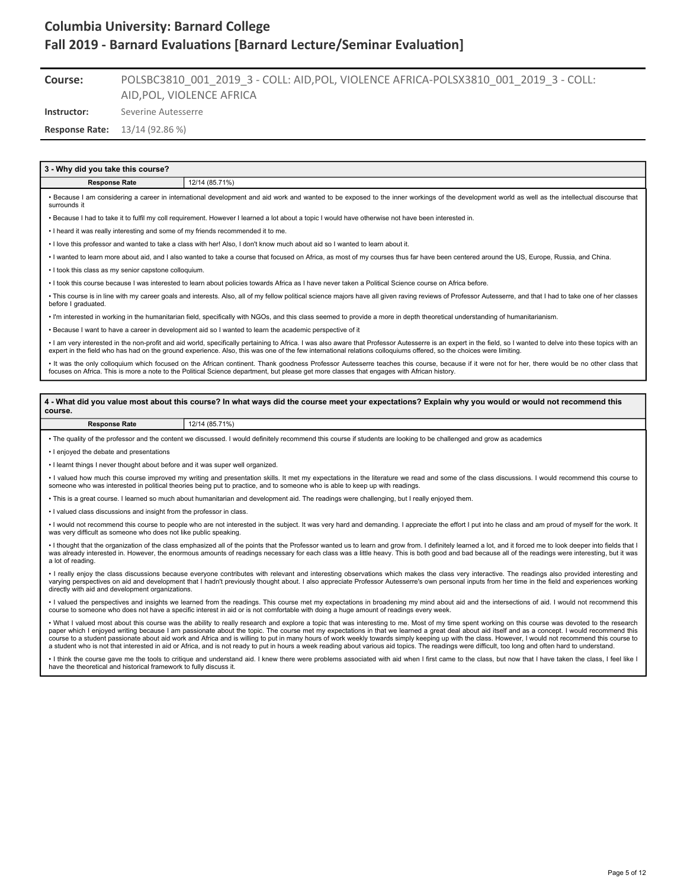#### POLSBC3810\_001\_2019\_3 - COLL: AID,POL, VIOLENCE AFRICA-POLSX3810\_001\_2019\_3 - COLL: AID,POL, VIOLENCE AFRICA **Course:**

**Instructor:** Severine Autesserre

**Response Rate:** 13/14 (92.86 %)

### **3 - Why did you take this course?**

### **Response Rate** 12/14 (85.71%)

• Because I am considering a career in international development and aid work and wanted to be exposed to the inner workings of the development world as well as the intellectual discourse that surrounds it

• Because I had to take it to fulfil my coll requirement. However I learned a lot about a topic I would have otherwise not have been interested in.

• I heard it was really interesting and some of my friends recommended it to me.

• I love this professor and wanted to take a class with her! Also, I don't know much about aid so I wanted to learn about it.

• I wanted to learn more about aid, and I also wanted to take a course that focused on Africa, as most of my courses thus far have been centered around the US, Europe, Russia, and China.

• I took this class as my senior capstone colloquium.

• I took this course because I was interested to learn about policies towards Africa as I have never taken a Political Science course on Africa before.

• This course is in line with my career goals and interests. Also, all of my fellow political science majors have all given raving reviews of Professor Autesserre, and that I had to take one of her classes before I graduated.

• I'm interested in working in the humanitarian field, specifically with NGOs, and this class seemed to provide a more in depth theoretical understanding of humanitarianism.

• Because I want to have a career in development aid so I wanted to learn the academic perspective of it

. I am very interested in the non-profit and aid world, specifically pertaining to Africa. I was also aware that Professor Autesserre is an expert in the field, so I wanted to delve into these topics with an expert in the field who has had on the ground experience. Also, this was one of the few international relations colloquiums offered, so the choices were limiting.

It was the only colloquium which focused on the African continent. Thank goodness Professor Autesserre teaches this course, because if it were not for her, there would be no other class that focuses on Africa. This is more a note to the Political Science department, but please get more classes that engages with African history.

**4 - What did you value most about this course? In what ways did the course meet your expectations? Explain why you would or would not recommend this course.**

### **Response Rate** 12/14 (85.71%)

• The quality of the professor and the content we discussed. I would definitely recommend this course if students are looking to be challenged and grow as academics

• I enjoyed the debate and presentations

• I learnt things I never thought about before and it was super well organized.

• I valued how much this course improved my writing and presentation skills. It met my expectations in the literature we read and some of the class discussions. I would recommend this course to someone who was interested in political theories being put to practice, and to someone who is able to keep up with readings.

• This is a great course. I learned so much about humanitarian and development aid. The readings were challenging, but I really enjoyed them.

• I valued class discussions and insight from the professor in class.

• I would not recommend this course to people who are not interested in the subject. It was very hard and demanding. I appreciate the effort I put into he class and am proud of myself for the work. It was very difficult as someone who does not like public speaking.

• I thought that the organization of the class emphasized all of the points that the Professor wanted us to learn and grow from. I definitely learned a lot, and it forced me to look deeper into fields that I was already interested in. However, the enormous amounts of readings necessary for each class was a little heavy. This is both good and bad because all of the readings were interesting, but it was a lot of reading.

• I really enjoy the class discussions because everyone contributes with relevant and interesting observations which makes the class very interactive. The readings also provided interesting and varying perspectives on aid and development that I hadn't previously thought about. I also appreciate Professor Autesserre's own personal inputs from her time in the field and experiences working directly with aid and development organizations.

• I valued the perspectives and insights we learned from the readings. This course met my expectations in broadening my mind about aid and the intersections of aid. I would not recommend this course to someone who does not have a specific interest in aid or is not comfortable with doing a huge amount of readings every week.

• What I valued most about this course was the ability to really research and explore a topic that was interesting to me. Most of my time spent working on this course was devoted to the research<br>paper which I enjoyed writi course to a student passionate about aid work and Africa and is willing to put in many hours of work weekly towards simply keeping up with the class. However, I would not recommend this course to<br>a student who is not that

• I think the course gave me the tools to critique and understand aid. I knew there were problems associated with aid when I first came to the class, but now that I have taken the class, I feel like I have the theoretical and historical framework to fully discuss it.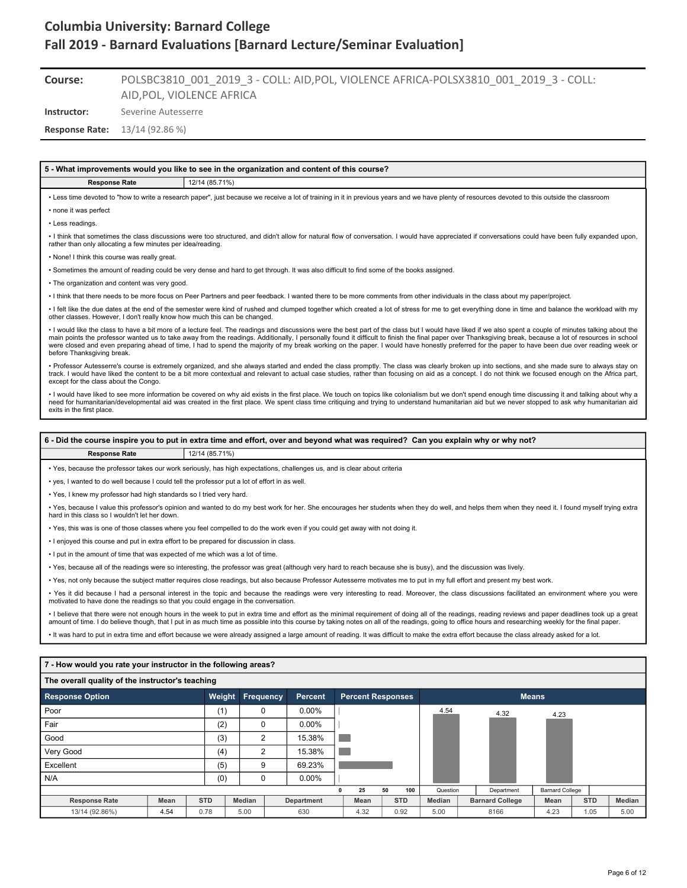#### POLSBC3810\_001\_2019\_3 - COLL: AID,POL, VIOLENCE AFRICA-POLSX3810\_001\_2019\_3 - COLL: AID,POL, VIOLENCE AFRICA **Course:**

**Instructor:** Severine Autesserre

**Response Rate:** 13/14 (92.86 %)

#### **5 - What improvements would you like to see in the organization and content of this course?**

#### **Response Rate** 12/14 (85.71%)

• Less time devoted to "how to write a research paper", just because we receive a lot of training in it in previous years and we have plenty of resources devoted to this outside the classroom • none it was perfect

• Less readings.

• I think that sometimes the class discussions were too structured, and didn't allow for natural flow of conversation. I would have appreciated if conversations could have been fully expanded upon, rather than only allocating a few minutes per idea/reading.

• None! I think this course was really great.

• Sometimes the amount of reading could be very dense and hard to get through. It was also difficult to find some of the books assigned.

• The organization and content was very good.

• I think that there needs to be more focus on Peer Partners and peer feedback. I wanted there to be more comments from other individuals in the class about my paper/project.

• I felt like the due dates at the end of the semester were kind of rushed and clumped together which created a lot of stress for me to get everything done in time and balance the workload with my other classes. However, I don't really know how much this can be changed.

I would like the class to have a bit more of a lecture feel. The readings and discussions were the best part of the class but I would have liked if we also spent a couple of minutes talking about the main points the professor wanted us to take away from the readings. Additionally, I personally found it difficult to finish the final paper over Thanksgiving break, because a lot of resources in school were closed and even preparing ahead of time, I had to spend the majority of my break working on the paper. I would have honestly preferred for the paper to have been due over reading week or before Thanksgiving break.

• Professor Autesserre's course is extremely organized, and she always started and ended the class promptly. The class was clearly broken up into sections, and she made sure to always stay on<br>track. I would have liked the except for the class about the Congo.

• I would have liked to see more information be covered on why aid exists in the first place. We touch on topics like colonialism but we don't spend enough time discussing it and talking about why a need for humanitarian/developmental aid was created in the first place. We spent class time critiquing and trying to understand humanitarian aid but we never stopped to ask why humanitarian aid exits in the first place.

#### **6 - Did the course inspire you to put in extra time and effort, over and beyond what was required? Can you explain why or why not?**

#### **Response Rate** 12/14 (85.71%)

• Yes, because the professor takes our work seriously, has high expectations, challenges us, and is clear about criteria

• yes, I wanted to do well because I could tell the professor put a lot of effort in as well.

• Yes, I knew my professor had high standards so I tried very hard.

• Yes, because I value this professor's opinion and wanted to do my best work for her. She encourages her students when they do well, and helps them when they need it. I found myself trying extra hard in this class so I wouldn't let her down.

• Yes, this was is one of those classes where you feel compelled to do the work even if you could get away with not doing it.

• I enjoyed this course and put in extra effort to be prepared for discussion in class.

• I put in the amount of time that was expected of me which was a lot of time.

• Yes, because all of the readings were so interesting, the professor was great (although very hard to reach because she is busy), and the discussion was lively.

• Yes, not only because the subject matter requires close readings, but also because Professor Autesserre motivates me to put in my full effort and present my best work.

• Yes it did because I had a personal interest in the topic and because the readings were very interesting to read. Moreover, the class discussions facilitated an environment where you were motivated to have done the readings so that you could engage in the conversation.

• I believe that there were not enough hours in the week to put in extra time and effort as the minimal requirement of doing all of the readings, reading reviews and paper deadlines took up a great amount of time. I do believe though, that I put in as much time as possible into this course by taking notes on all of the readings, going to office hours and researching weekly for the final paper.

• It was hard to put in extra time and effort because we were already assigned a large amount of reading. It was difficult to make the extra effort because the class already asked for a lot.

### **7 - How would you rate your instructor in the following areas?**

| The overall quality of the instructor's teaching |      |            |                  |   |            |   |                          |    |            |               |                        |                        |            |        |
|--------------------------------------------------|------|------------|------------------|---|------------|---|--------------------------|----|------------|---------------|------------------------|------------------------|------------|--------|
| <b>Response Option</b>                           |      | Weight     | <b>Frequency</b> |   | Percent    |   | <b>Percent Responses</b> |    |            |               |                        | <b>Means</b>           |            |        |
| l Poor                                           |      | (1)        | 0                |   | $0.00\%$   |   |                          |    |            | 4.54          | 4.32                   | 4.23                   |            |        |
| Fair                                             |      | (2)        | 0                |   | $0.00\%$   |   |                          |    |            |               |                        |                        |            |        |
| Good                                             |      | (3)        | 2                |   | 15.38%     |   |                          |    |            |               |                        |                        |            |        |
| Very Good                                        |      | (4)        | 2                |   | 15.38%     |   |                          |    |            |               |                        |                        |            |        |
| Excellent                                        |      | (5)        |                  | 9 | 69.23%     |   |                          |    |            |               |                        |                        |            |        |
| N/A                                              |      | (0)        | 0                |   | $0.00\%$   |   |                          |    |            |               |                        |                        |            |        |
|                                                  |      |            |                  |   |            | 0 | 25                       | 50 | 100        | Question      | Department             | <b>Barnard College</b> |            |        |
| <b>Response Rate</b>                             | Mean | <b>STD</b> | <b>Median</b>    |   | Department |   | Mean                     |    | <b>STD</b> | <b>Median</b> | <b>Barnard College</b> | Mean                   | <b>STD</b> | Median |
| 13/14 (92.86%)                                   | 4.54 | 0.78       | 5.00             |   | 630        |   | 4.32                     |    | 0.92       | 5.00          | 8166                   | 4.23                   | 1.05       | 5.00   |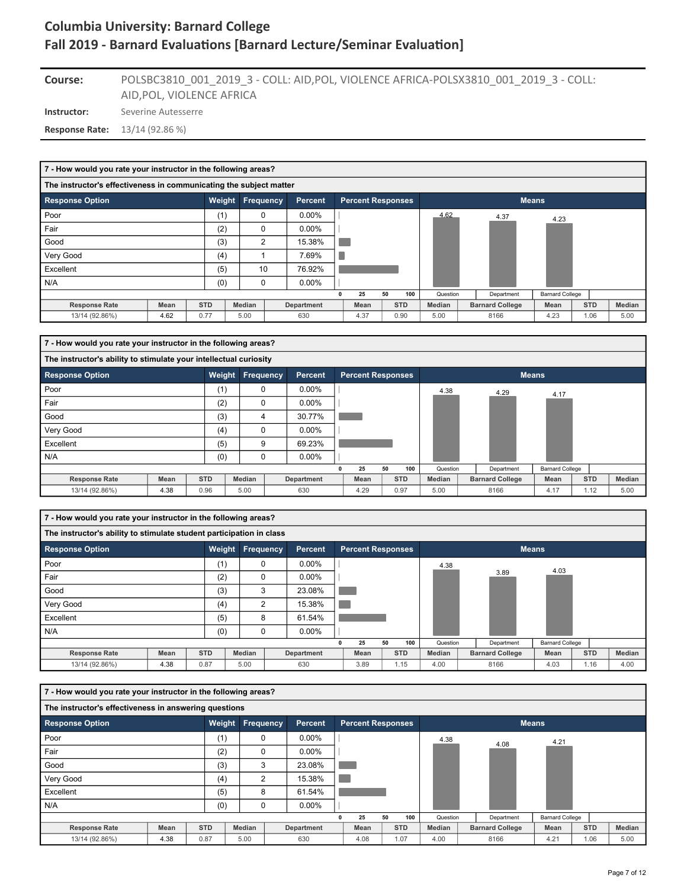### **Instructor:** Severine Autesserre POLSBC3810\_001\_2019\_3 - COLL: AID,POL, VIOLENCE AFRICA-POLSX3810\_001\_2019\_3 - COLL: AID,POL, VIOLENCE AFRICA **Course:**

**Response Rate:** 13/14 (92.86 %)

| 7 - How would you rate your instructor in the following areas?     |      |            |                  |                   |                          |            |          |                        |                        |            |        |
|--------------------------------------------------------------------|------|------------|------------------|-------------------|--------------------------|------------|----------|------------------------|------------------------|------------|--------|
| The instructor's effectiveness in communicating the subject matter |      |            |                  |                   |                          |            |          |                        |                        |            |        |
| <b>Response Option</b>                                             |      | Weight     | <b>Frequency</b> | Percent           | <b>Percent Responses</b> |            |          |                        | <b>Means</b>           |            |        |
| Poor                                                               |      | (1)        | 0                | $0.00\%$          |                          |            | 4.62     | 4.37                   | 4.23                   |            |        |
| Fair                                                               |      | (2)        | $\Omega$         | $0.00\%$          |                          |            |          |                        |                        |            |        |
| Good                                                               |      | (3)        | 2                | 15.38%            |                          |            |          |                        |                        |            |        |
| Very Good                                                          |      | (4)        |                  | 7.69%             |                          |            |          |                        |                        |            |        |
| Excellent                                                          |      | (5)        | 10               | 76.92%            |                          |            |          |                        |                        |            |        |
| N/A                                                                |      | (0)        | 0                | $0.00\%$          |                          |            |          |                        |                        |            |        |
|                                                                    |      |            |                  |                   | 25<br>0                  | 50<br>100  | Question | Department             | <b>Barnard College</b> |            |        |
| <b>Response Rate</b>                                               | Mean | <b>STD</b> | Median           | <b>Department</b> | Mean                     | <b>STD</b> | Median   | <b>Barnard College</b> | Mean                   | <b>STD</b> | Median |
| 13/14 (92.86%)                                                     | 4.62 | 0.77       | 5.00             | 630               | 4.37                     | 0.90       | 5.00     | 8166                   | 4.23                   | 1.06       | 5.00   |

| 7 - How would you rate your instructor in the following areas?    |      |            |                  |                |                          |    |            |          |                        |                        |            |        |
|-------------------------------------------------------------------|------|------------|------------------|----------------|--------------------------|----|------------|----------|------------------------|------------------------|------------|--------|
| The instructor's ability to stimulate your intellectual curiosity |      |            |                  |                |                          |    |            |          |                        |                        |            |        |
| <b>Response Option</b>                                            |      | Weight     | <b>Frequency</b> | <b>Percent</b> | <b>Percent Responses</b> |    |            |          |                        | <b>Means</b>           |            |        |
| Poor                                                              |      | (1)        | 0                | $0.00\%$       |                          |    |            | 4.38     | 4.29                   | 4.17                   |            |        |
| Fair                                                              |      | (2)        | 0                | $0.00\%$       |                          |    |            |          |                        |                        |            |        |
| Good                                                              |      | (3)        | 4                | 30.77%         |                          |    |            |          |                        |                        |            |        |
| Very Good                                                         |      | (4)        | $\Omega$         | $0.00\%$       |                          |    |            |          |                        |                        |            |        |
| Excellent                                                         |      | (5)        | 9                | 69.23%         |                          |    |            |          |                        |                        |            |        |
| N/A                                                               |      | (0)        | $\mathbf 0$      | $0.00\%$       |                          |    |            |          |                        |                        |            |        |
|                                                                   |      |            |                  |                | 25                       | 50 | 100        | Question | Department             | <b>Barnard College</b> |            |        |
| <b>Response Rate</b>                                              | Mean | <b>STD</b> | <b>Median</b>    | Department     | Mean                     |    | <b>STD</b> | Median   | <b>Barnard College</b> | Mean                   | <b>STD</b> | Median |
| 13/14 (92.86%)                                                    | 4.38 | 0.96       | 5.00             | 630            | 4.29                     |    | 0.97       | 5.00     | 8166                   | 4.17                   | 1.12       | 5.00   |

| 7 - How would you rate your instructor in the following areas?       |             |            |               |             |                |      |    |                          |               |                        |                        |            |        |
|----------------------------------------------------------------------|-------------|------------|---------------|-------------|----------------|------|----|--------------------------|---------------|------------------------|------------------------|------------|--------|
| The instructor's ability to stimulate student participation in class |             |            |               |             |                |      |    |                          |               |                        |                        |            |        |
| <b>Response Option</b>                                               |             | Weight     | Frequency     |             | <b>Percent</b> |      |    | <b>Percent Responses</b> |               |                        | <b>Means</b>           |            |        |
| Poor                                                                 |             | (1)        |               | $\mathbf 0$ | $0.00\%$       |      |    |                          | 4.38          |                        | 4.03                   |            |        |
| Fair                                                                 |             | (2)        |               | 0           | $0.00\%$       |      |    |                          |               | 3.89                   |                        |            |        |
| Good                                                                 |             | (3)        |               | 3           | 23.08%         |      |    |                          |               |                        |                        |            |        |
| Very Good                                                            |             | (4)        |               | 2           | 15.38%         |      |    |                          |               |                        |                        |            |        |
| Excellent                                                            |             | (5)        |               | 8           | 61.54%         |      |    |                          |               |                        |                        |            |        |
| N/A                                                                  |             | (0)        |               | $\mathbf 0$ | $0.00\%$       |      |    |                          |               |                        |                        |            |        |
|                                                                      |             |            |               |             |                | 25   | 50 | 100                      | Question      | Department             | <b>Barnard College</b> |            |        |
| <b>Response Rate</b>                                                 | <b>Mean</b> | <b>STD</b> | <b>Median</b> |             | Department     | Mean |    | <b>STD</b>               | <b>Median</b> | <b>Barnard College</b> | Mean                   | <b>STD</b> | Median |
| 13/14 (92.86%)                                                       | 4.38        | 0.87       | 5.00          |             | 630            | 3.89 |    | 1.15                     | 4.00          | 8166                   | 4.03                   | 1.16       | 4.00   |

| 7 - How would you rate your instructor in the following areas? |      |            |                         |                |                |                          |    |            |               |                        |                        |            |        |
|----------------------------------------------------------------|------|------------|-------------------------|----------------|----------------|--------------------------|----|------------|---------------|------------------------|------------------------|------------|--------|
| The instructor's effectiveness in answering questions          |      |            |                         |                |                |                          |    |            |               |                        |                        |            |        |
| <b>Response Option</b>                                         |      |            | <b>Weight Frequency</b> |                | <b>Percent</b> | <b>Percent Responses</b> |    |            |               |                        | <b>Means</b>           |            |        |
| Poor                                                           |      | (1)        |                         | $\mathbf 0$    | $0.00\%$       |                          |    |            | 4.38          | 4.08                   | 4.21                   |            |        |
| Fair                                                           |      | (2)        |                         | $\mathbf 0$    | $0.00\%$       |                          |    |            |               |                        |                        |            |        |
| Good                                                           |      | (3)        |                         | 3              | 23.08%         |                          |    |            |               |                        |                        |            |        |
| Very Good                                                      |      | (4)        |                         | $\overline{2}$ | 15.38%         |                          |    |            |               |                        |                        |            |        |
| Excellent                                                      |      | (5)        |                         | 8              | 61.54%         |                          |    |            |               |                        |                        |            |        |
| N/A                                                            |      | (0)        |                         | 0              | $0.00\%$       |                          |    |            |               |                        |                        |            |        |
|                                                                |      |            |                         |                |                | 25                       | 50 | 100        | Question      | Department             | <b>Barnard College</b> |            |        |
| <b>Response Rate</b>                                           | Mean | <b>STD</b> | Median                  |                | Department     | Mean                     |    | <b>STD</b> | <b>Median</b> | <b>Barnard College</b> | Mean                   | <b>STD</b> | Median |
| 13/14 (92.86%)                                                 | 4.38 | 0.87       | 5.00                    |                | 630            | 4.08                     |    | 1.07       | 4.00          | 8166                   | 4.21                   | 1.06       | 5.00   |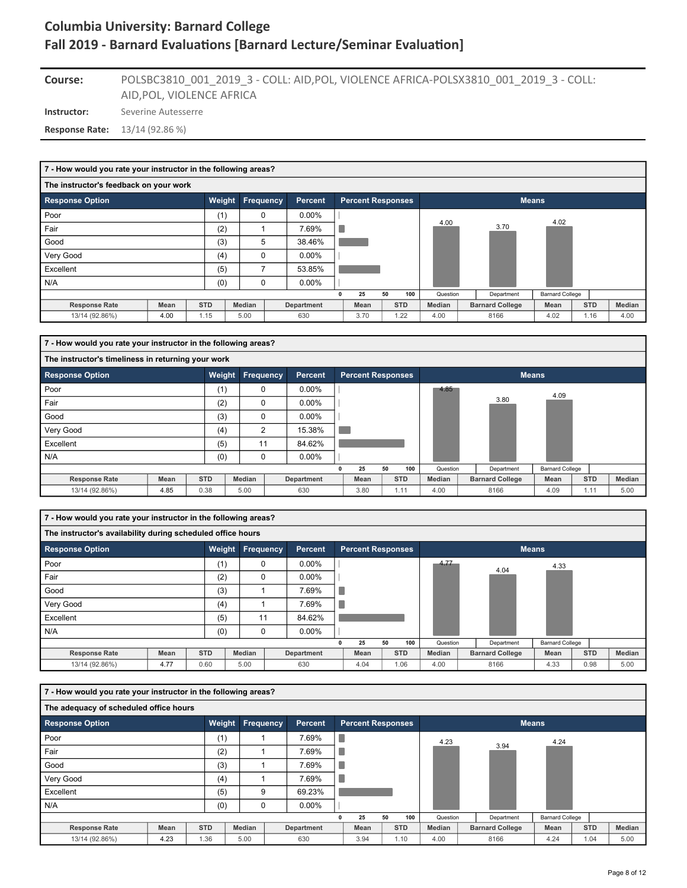### POLSBC3810\_001\_2019\_3 - COLL: AID,POL, VIOLENCE AFRICA-POLSX3810\_001\_2019\_3 - COLL: AID,POL, VIOLENCE AFRICA **Course:**

**Instructor:** Severine Autesserre

**Response Rate:** 13/14 (92.86 %)

| 7 - How would you rate your instructor in the following areas? |             |            |                  |                |                          |    |            |          |                        |                        |            |      |        |
|----------------------------------------------------------------|-------------|------------|------------------|----------------|--------------------------|----|------------|----------|------------------------|------------------------|------------|------|--------|
| The instructor's feedback on your work                         |             |            |                  |                |                          |    |            |          |                        |                        |            |      |        |
| <b>Response Option</b>                                         |             | Weight     | <b>Frequency</b> | <b>Percent</b> | <b>Percent Responses</b> |    |            |          |                        | <b>Means</b>           |            |      |        |
| Poor                                                           |             | (1)        | 0                | $0.00\%$       |                          |    |            | 4.00     |                        | 4.02                   |            |      |        |
| Fair                                                           |             | (2)        |                  | 7.69%          |                          |    |            |          | 3.70                   |                        |            |      |        |
| Good                                                           |             | (3)        | 5                | 38.46%         |                          |    |            |          |                        |                        |            |      |        |
| Very Good                                                      |             | (4)        | $\Omega$         | $0.00\%$       |                          |    |            |          |                        |                        |            |      |        |
| Excellent                                                      |             | (5)        | 7                | 53.85%         |                          |    |            |          |                        |                        |            |      |        |
| N/A                                                            |             | (0)        | $\mathbf 0$      | $0.00\%$       |                          |    |            |          |                        |                        |            |      |        |
|                                                                |             |            |                  |                | 25                       | 50 | 100        | Question | Department             | <b>Barnard College</b> |            |      |        |
| <b>Response Rate</b>                                           | <b>Mean</b> | <b>STD</b> | <b>Median</b>    | Department     | Mean                     |    | <b>STD</b> | Median   | <b>Barnard College</b> | Mean                   | <b>STD</b> |      | Median |
| 13/14 (92.86%)                                                 | 4.00        | 1.15       | 5.00             | 630            | 3.70                     |    | 1.22       | 4.00     | 8166                   | 4.02                   |            | 1.16 | 4.00   |

| 7 - How would you rate your instructor in the following areas? |      |            |                |            |                          |    |            |               |                        |                        |      |            |        |
|----------------------------------------------------------------|------|------------|----------------|------------|--------------------------|----|------------|---------------|------------------------|------------------------|------|------------|--------|
| The instructor's timeliness in returning your work             |      |            |                |            |                          |    |            |               |                        |                        |      |            |        |
| <b>Response Option</b>                                         |      | Weight     | Frequency      | Percent    | <b>Percent Responses</b> |    |            |               |                        | <b>Means</b>           |      |            |        |
| Poor                                                           |      | (1)        | 0              | $0.00\%$   |                          |    |            | 4.85          |                        | 4.09                   |      |            |        |
| Fair                                                           |      | (2)        | $\Omega$       | $0.00\%$   |                          |    |            |               | 3.80                   |                        |      |            |        |
| Good                                                           |      | (3)        | $\mathbf 0$    | $0.00\%$   |                          |    |            |               |                        |                        |      |            |        |
| Very Good                                                      |      | (4)        | $\overline{2}$ | 15.38%     |                          |    |            |               |                        |                        |      |            |        |
| Excellent                                                      |      | (5)        | 11             | 84.62%     |                          |    |            |               |                        |                        |      |            |        |
| N/A                                                            |      | (0)        | $\mathbf 0$    | $0.00\%$   |                          |    |            |               |                        |                        |      |            |        |
|                                                                |      |            |                |            | 25                       | 50 | 100        | Question      | Department             | <b>Barnard College</b> |      |            |        |
| <b>Response Rate</b>                                           | Mean | <b>STD</b> | Median         | Department | Mean                     |    | <b>STD</b> | <b>Median</b> | <b>Barnard College</b> | Mean                   |      | <b>STD</b> | Median |
| 13/14 (92.86%)                                                 | 4.85 | 0.38       | 5.00           | 630        | 3.80                     |    | 1.11       | 4.00          | 8166                   | 4.09                   | 1.11 |            | 5.00   |

| 7 - How would you rate your instructor in the following areas? |      |            |        |                  |                |   |                          |    |            |          |                        |                        |            |        |
|----------------------------------------------------------------|------|------------|--------|------------------|----------------|---|--------------------------|----|------------|----------|------------------------|------------------------|------------|--------|
| The instructor's availability during scheduled office hours    |      |            |        |                  |                |   |                          |    |            |          |                        |                        |            |        |
| <b>Response Option</b>                                         |      | Weight     |        | <b>Frequency</b> | <b>Percent</b> |   | <b>Percent Responses</b> |    |            |          |                        | <b>Means</b>           |            |        |
| Poor                                                           |      | (1)        |        | 0                | $0.00\%$       |   |                          |    |            | 4.77     | 4.04                   | 4.33                   |            |        |
| Fair                                                           |      | (2)        |        | 0                | $0.00\%$       |   |                          |    |            |          |                        |                        |            |        |
| Good                                                           |      | (3)        |        |                  | 7.69%          |   |                          |    |            |          |                        |                        |            |        |
| Very Good                                                      |      | (4)        |        |                  | 7.69%          | u |                          |    |            |          |                        |                        |            |        |
| Excellent                                                      |      | (5)        |        | 11               | 84.62%         |   |                          |    |            |          |                        |                        |            |        |
| N/A                                                            |      | (0)        |        | 0                | $0.00\%$       |   |                          |    |            |          |                        |                        |            |        |
|                                                                |      |            |        |                  |                |   | 25                       | 50 | 100        | Question | Department             | <b>Barnard College</b> |            |        |
| <b>Response Rate</b>                                           | Mean | <b>STD</b> | Median |                  | Department     |   | Mean                     |    | <b>STD</b> | Median   | <b>Barnard College</b> | Mean                   | <b>STD</b> | Median |
| 13/14 (92.86%)                                                 | 4.77 | 0.60       | 5.00   |                  | 630            |   | 4.04                     |    | 1.06       | 4.00     | 8166                   | 4.33                   | 0.98       | 5.00   |

| 7 - How would you rate your instructor in the following areas? |      |            |               |           |            |   |                          |    |            |               |                        |                        |            |        |
|----------------------------------------------------------------|------|------------|---------------|-----------|------------|---|--------------------------|----|------------|---------------|------------------------|------------------------|------------|--------|
| The adequacy of scheduled office hours                         |      |            |               |           |            |   |                          |    |            |               |                        |                        |            |        |
| <b>Response Option</b>                                         |      |            | Weight        | Frequency | Percent    |   | <b>Percent Responses</b> |    |            |               |                        | <b>Means</b>           |            |        |
| Poor                                                           |      | (1)        |               |           | 7.69%      | Г |                          |    |            | 4.23          |                        | 4.24                   |            |        |
| Fair                                                           |      | (2)        |               |           | 7.69%      |   |                          |    |            |               | 3.94                   |                        |            |        |
| Good                                                           |      | (3)        |               |           | 7.69%      |   |                          |    |            |               |                        |                        |            |        |
| Very Good                                                      |      | (4)        |               |           | 7.69%      | × |                          |    |            |               |                        |                        |            |        |
| Excellent                                                      |      | (5)        |               | 9         | 69.23%     |   |                          |    |            |               |                        |                        |            |        |
| N/A                                                            |      | (0)        |               | 0         | $0.00\%$   |   |                          |    |            |               |                        |                        |            |        |
|                                                                |      |            |               |           |            |   | 25                       | 50 | 100        | Question      | Department             | <b>Barnard College</b> |            |        |
| <b>Response Rate</b>                                           | Mean | <b>STD</b> | <b>Median</b> |           | Department |   | Mean                     |    | <b>STD</b> | <b>Median</b> | <b>Barnard College</b> | Mean                   | <b>STD</b> | Median |
| 13/14 (92.86%)                                                 | 4.23 | 1.36       | 5.00          |           | 630        |   | 3.94                     |    | 1.10       | 4.00          | 8166                   | 4.24                   | 1.04       | 5.00   |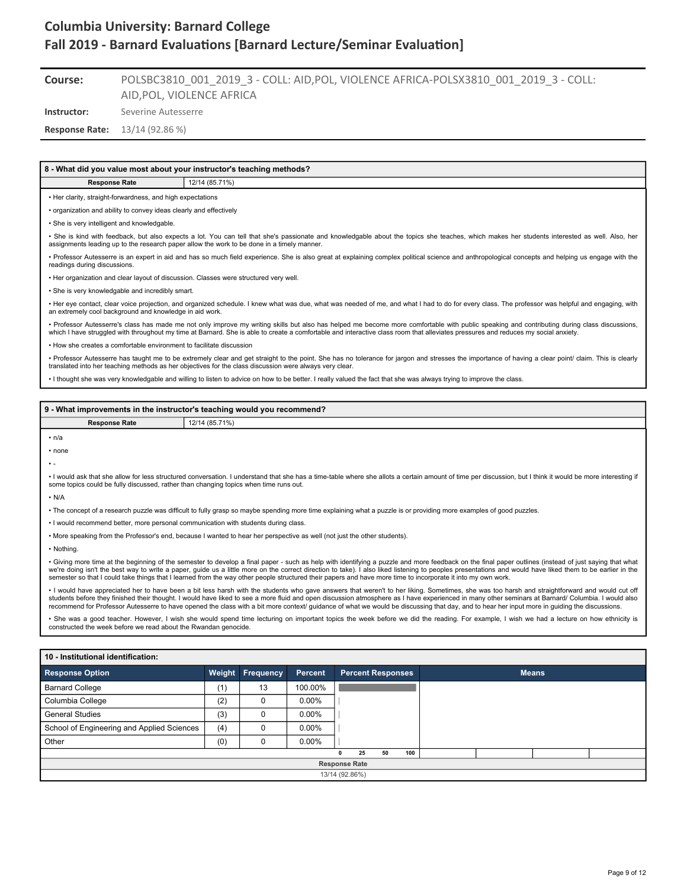#### POLSBC3810\_001\_2019\_3 - COLL: AID,POL, VIOLENCE AFRICA-POLSX3810\_001\_2019\_3 - COLL: AID,POL, VIOLENCE AFRICA **Course:**

**Instructor:** Severine Autesserre

**Response Rate:** 13/14 (92.86 %)

### **8 - What did you value most about your instructor's teaching methods?**

**Response Rate** 12/14 (85.71%)

• Her clarity, straight-forwardness, and high expectations

• organization and ability to convey ideas clearly and effectively

• She is very intelligent and knowledgable.

• She is kind with feedback, but also expects a lot. You can tell that she's passionate and knowledgable about the topics she teaches, which makes her students interested as well. Also, her assignments leading up to the research paper allow the work to be done in a timely manner.

• Professor Autesserre is an expert in aid and has so much field experience. She is also great at explaining complex political science and anthropological concepts and helping us engage with the readings during discussions.

• Her organization and clear layout of discussion. Classes were structured very well.

• She is very knowledgable and incredibly smart.

• Her eye contact, clear voice projection, and organized schedule. I knew what was due, what was needed of me, and what I had to do for every class. The professor was helpful and engaging, with<br>an extremely cool background

• Professor Autesserre's class has made me not only improve my writing skills but also has helped me become more comfortable with public speaking and contributing during class discussions,<br>which I have struggled with throu

• How she creates a comfortable environment to facilitate discussion

• Professor Autesserre has taught me to be extremely clear and get straight to the point. She has no tolerance for jargon and stresses the importance of having a clear point/ claim. This is clearly translated into her teaching methods as her objectives for the class discussion were always very clear.

• I thought she was very knowledgable and willing to listen to advice on how to be better. I really valued the fact that she was always trying to improve the class.

## **9 - What improvements in the instructor's teaching would you recommend? Response Rate** 12/14 (85.71%)  $\cdot$  n/a • none • - • I would ask that she allow for less structured conversation. I understand that she has a time-table where she allots a certain amount of time per discussion, but I think it would be more interesting if some topics could be fully discussed, rather than changing topics when time runs out.  $\cdot$  N/A • The concept of a research puzzle was difficult to fully grasp so maybe spending more time explaining what a puzzle is or providing more examples of good puzzles. • I would recommend better, more personal communication with students during class. • More speaking from the Professor's end, because I wanted to hear her perspective as well (not just the other students). • Nothing. • Giving more time at the beginning of the semester to develop a final paper - such as help with identifying a puzzle and more feedback on the final paper outlines (instead of just saying that what we're doing isn't the best way to write a paper, guide us a little more on the correct direction to take). I also liked listening to peoples presentations and would have liked them to be earlier in the<br>semester so that I c • I would have appreciated her to have been a bit less harsh with the students who gave answers that weren't to her liking. Sometimes, she was too harsh and straightforward and would cut off students before they finished their thought. I would have liked to see a more fluid and open discussion atmosphere as I have experienced in many other seminars at Barnard/ Columbia. I would also recommend for Professor Autesserre to have opened the class with a bit more context/ guidance of what we would be discussing that day, and to hear her input more in guiding the discussions. • She was a good teacher. However, I wish she would spend time lecturing on important topics the week before we did the reading. For example, I wish we had a lecture on how ethnicity is constructed the week before we read about the Rwandan genocide. **10 - Institutional identification:**

| <b>Response Option</b>                     |     | <b>Weight Frequency</b> | Percent  |                | <b>Percent Responses</b> |    |     |  | <b>Means</b> |  |
|--------------------------------------------|-----|-------------------------|----------|----------------|--------------------------|----|-----|--|--------------|--|
| <b>Barnard College</b>                     | (1) | 13                      | 100.00%  |                |                          |    |     |  |              |  |
| Columbia College                           | (2) |                         | $0.00\%$ |                |                          |    |     |  |              |  |
| <b>General Studies</b>                     | (3) |                         | $0.00\%$ |                |                          |    |     |  |              |  |
| School of Engineering and Applied Sciences | (4) |                         | $0.00\%$ |                |                          |    |     |  |              |  |
| Other                                      | (0) |                         | $0.00\%$ |                |                          |    |     |  |              |  |
|                                            |     |                         |          |                | 25                       | 50 | 100 |  |              |  |
|                                            |     |                         |          |                | <b>Response Rate</b>     |    |     |  |              |  |
|                                            |     |                         |          | 13/14 (92.86%) |                          |    |     |  |              |  |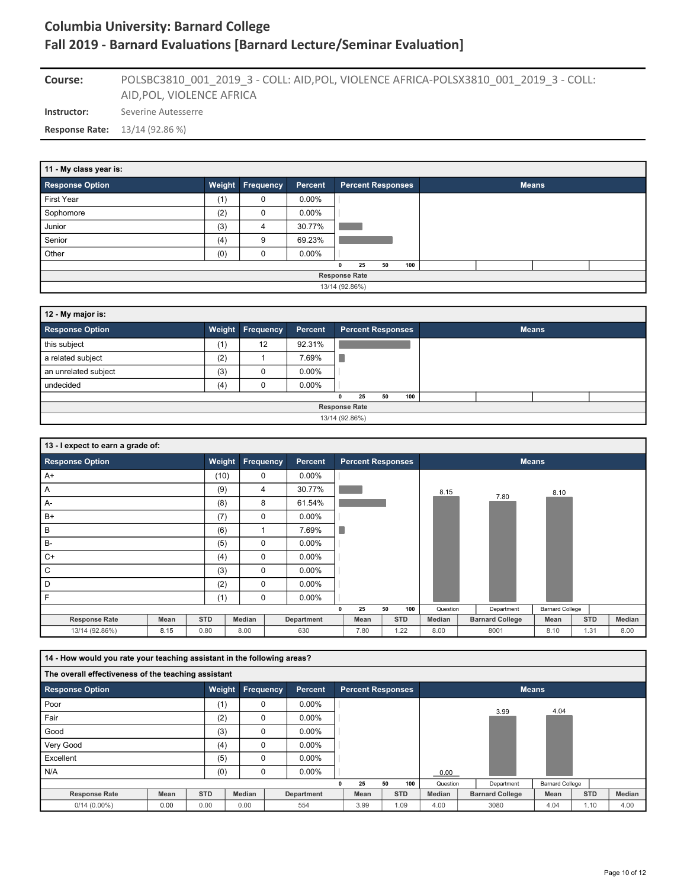**Instructor:** Severine Autesserre POLSBC3810\_001\_2019\_3 - COLL: AID,POL, VIOLENCE AFRICA-POLSX3810\_001\_2019\_3 - COLL: AID,POL, VIOLENCE AFRICA **Course: Response Rate:** 13/14 (92.86 %)

| 11 - My class year is: |     |                         |          |                      |                          |    |     |  |              |  |
|------------------------|-----|-------------------------|----------|----------------------|--------------------------|----|-----|--|--------------|--|
| <b>Response Option</b> |     | <b>Weight Frequency</b> | Percent  |                      | <b>Percent Responses</b> |    |     |  | <b>Means</b> |  |
| First Year             | (1) | 0                       | $0.00\%$ |                      |                          |    |     |  |              |  |
| Sophomore              | (2) | 0                       | $0.00\%$ |                      |                          |    |     |  |              |  |
| Junior                 | (3) | 4                       | 30.77%   |                      |                          |    |     |  |              |  |
| Senior                 | (4) | 9                       | 69.23%   |                      |                          |    |     |  |              |  |
| Other                  | (0) | 0                       | $0.00\%$ |                      |                          |    |     |  |              |  |
|                        |     |                         |          | 0                    | 25                       | 50 | 100 |  |              |  |
|                        |     |                         |          | <b>Response Rate</b> |                          |    |     |  |              |  |
|                        |     |                         |          | 13/14 (92.86%)       |                          |    |     |  |              |  |

| 12 - My major is:      |     |                         |          |                |                      |                          |     |  |              |  |
|------------------------|-----|-------------------------|----------|----------------|----------------------|--------------------------|-----|--|--------------|--|
| <b>Response Option</b> |     | <b>Weight Frequency</b> | Percent  |                |                      | <b>Percent Responses</b> |     |  | <b>Means</b> |  |
| this subject           | (1) | 12                      | 92.31%   |                |                      |                          |     |  |              |  |
| a related subject      | (2) |                         | 7.69%    |                |                      |                          |     |  |              |  |
| an unrelated subject   | (3) | 0                       | $0.00\%$ |                |                      |                          |     |  |              |  |
| undecided              | (4) | 0                       | $0.00\%$ |                |                      |                          |     |  |              |  |
|                        |     |                         |          | 0              | 25                   | 50                       | 100 |  |              |  |
|                        |     |                         |          |                | <b>Response Rate</b> |                          |     |  |              |  |
|                        |     |                         |          | 13/14 (92.86%) |                      |                          |     |  |              |  |

| 13 - I expect to earn a grade of: |      |            |                         |            |          |                          |            |          |                        |                        |            |        |
|-----------------------------------|------|------------|-------------------------|------------|----------|--------------------------|------------|----------|------------------------|------------------------|------------|--------|
| <b>Response Option</b>            |      |            | <b>Weight Frequency</b> | Percent    |          | <b>Percent Responses</b> |            |          |                        | <b>Means</b>           |            |        |
| $A+$                              |      | (10)       | 0                       | $0.00\%$   |          |                          |            |          |                        |                        |            |        |
| A                                 |      | (9)        | 4                       | 30.77%     |          |                          |            | 8.15     | 7.80                   | 8.10                   |            |        |
| A-                                |      | (8)        | 8                       | 61.54%     |          |                          |            |          |                        |                        |            |        |
| $B+$                              |      | (7)        | 0                       | $0.00\%$   |          |                          |            |          |                        |                        |            |        |
| В                                 |      | (6)        |                         | 7.69%      | п        |                          |            |          |                        |                        |            |        |
| $B -$                             |      | (5)        | 0                       | $0.00\%$   |          |                          |            |          |                        |                        |            |        |
| $C+$                              |      | (4)        | $\mathbf 0$             | $0.00\%$   |          |                          |            |          |                        |                        |            |        |
| С                                 |      | (3)        | $\mathbf 0$             | $0.00\%$   |          |                          |            |          |                        |                        |            |        |
| D                                 |      | (2)        | 0                       | $0.00\%$   |          |                          |            |          |                        |                        |            |        |
| F                                 |      | (1)        | $\mathbf 0$             | $0.00\%$   |          |                          |            |          |                        |                        |            |        |
|                                   |      |            |                         |            | $\Omega$ | 25                       | 50<br>100  | Question | Department             | <b>Barnard College</b> |            |        |
| <b>Response Rate</b>              | Mean | <b>STD</b> | Median                  | Department |          | Mean                     | <b>STD</b> | Median   | <b>Barnard College</b> | Mean                   | <b>STD</b> | Median |
| 13/14 (92.86%)                    | 8.15 | 0.80       | 8.00                    | 630        |          | 7.80                     | 1.22       | 8.00     | 8001                   | 8.10                   | 1.31       | 8.00   |

| 14 - How would you rate your teaching assistant in the following areas? |      |            |                  |            |   |                          |    |            |               |                        |                        |            |        |
|-------------------------------------------------------------------------|------|------------|------------------|------------|---|--------------------------|----|------------|---------------|------------------------|------------------------|------------|--------|
| The overall effectiveness of the teaching assistant                     |      |            |                  |            |   |                          |    |            |               |                        |                        |            |        |
| <b>Response Option</b>                                                  |      | Weight     | <b>Frequency</b> | Percent    |   | <b>Percent Responses</b> |    |            |               | <b>Means</b>           |                        |            |        |
| Poor                                                                    |      | (1)        | $\mathbf 0$      | $0.00\%$   |   |                          |    |            |               |                        | 4.04                   |            |        |
| Fair                                                                    |      | (2)        | $\mathbf 0$      | $0.00\%$   |   |                          |    |            |               | 3.99                   |                        |            |        |
| Good                                                                    |      | (3)        | 0                | $0.00\%$   |   |                          |    |            |               |                        |                        |            |        |
| Very Good                                                               |      | (4)        | $\mathbf 0$      | $0.00\%$   |   |                          |    |            |               |                        |                        |            |        |
| Excellent                                                               |      | (5)        | $\Omega$         | $0.00\%$   |   |                          |    |            |               |                        |                        |            |        |
| N/A                                                                     |      | (0)        | 0                | $0.00\%$   |   |                          |    |            | 0.00          |                        |                        |            |        |
|                                                                         |      |            |                  |            | n | 25                       | 50 | 100        | Question      | Department             | <b>Barnard College</b> |            |        |
| <b>Response Rate</b>                                                    | Mean | <b>STD</b> | Median           | Department |   | Mean                     |    | <b>STD</b> | <b>Median</b> | <b>Barnard College</b> | Mean                   | <b>STD</b> | Median |
| $0/14(0.00\%)$                                                          | 0.00 | 0.00       | 0.00             | 554        |   | 3.99                     |    | 1.09       | 4.00          | 3080                   | 4.04                   | 1.10       | 4.00   |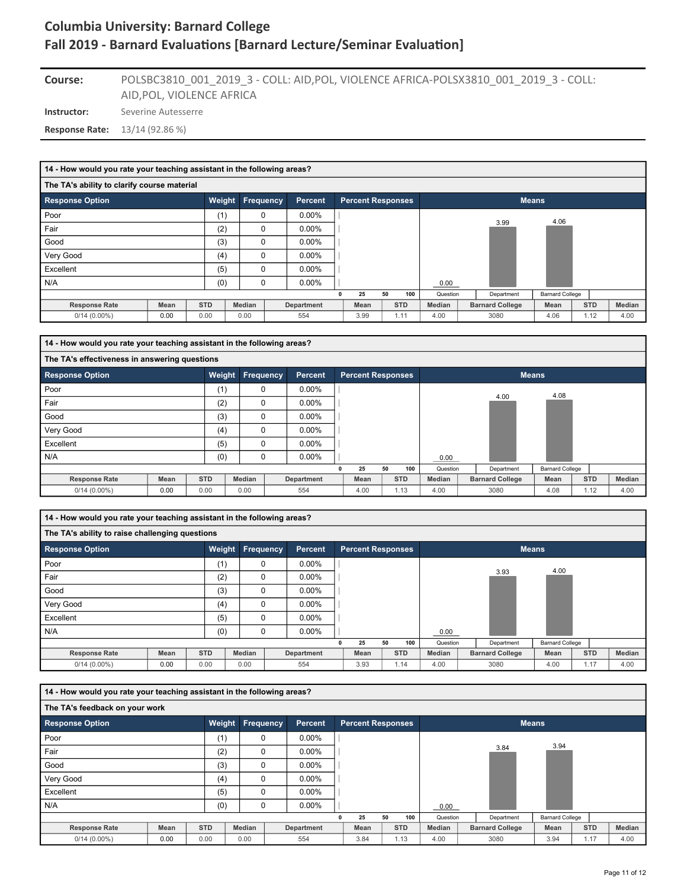### POLSBC3810\_001\_2019\_3 - COLL: AID,POL, VIOLENCE AFRICA-POLSX3810\_001\_2019\_3 - COLL: AID,POL, VIOLENCE AFRICA **Course:**

**Instructor:** Severine Autesserre

**Response Rate:** 13/14 (92.86 %)

| 14 - How would you rate your teaching assistant in the following areas? |      |            |             |                |                          |    |            |               |                        |                        |            |        |
|-------------------------------------------------------------------------|------|------------|-------------|----------------|--------------------------|----|------------|---------------|------------------------|------------------------|------------|--------|
| The TA's ability to clarify course material                             |      |            |             |                |                          |    |            |               |                        |                        |            |        |
| <b>Response Option</b>                                                  |      | Weight     | Frequency   | <b>Percent</b> | <b>Percent Responses</b> |    |            |               | <b>Means</b>           |                        |            |        |
| Poor                                                                    |      | (1)        | 0           | $0.00\%$       |                          |    |            |               |                        | 4.06                   |            |        |
| Fair                                                                    |      | (2)        | 0           | $0.00\%$       |                          |    |            |               | 3.99                   |                        |            |        |
| Good                                                                    |      | (3)        | 0           | $0.00\%$       |                          |    |            |               |                        |                        |            |        |
| Very Good                                                               |      | (4)        | $\mathbf 0$ | $0.00\%$       |                          |    |            |               |                        |                        |            |        |
| Excellent                                                               |      | (5)        | $\mathbf 0$ | $0.00\%$       |                          |    |            |               |                        |                        |            |        |
| N/A                                                                     |      | (0)        | $\mathbf 0$ | $0.00\%$       |                          |    |            | 0.00          |                        |                        |            |        |
|                                                                         |      |            |             |                | 25                       | 50 | 100        | Question      | Department             | <b>Barnard College</b> |            |        |
| <b>Response Rate</b>                                                    | Mean | <b>STD</b> | Median      | Department     | Mean                     |    | <b>STD</b> | <b>Median</b> | <b>Barnard College</b> | Mean                   | <b>STD</b> | Median |
| $0/14(0.00\%)$                                                          | 0.00 | 0.00       | 0.00        | 554            | 3.99                     |    | 1.11       | 4.00          | 3080                   | 4.06                   | 1.12       | 4.00   |

| 14 - How would you rate your teaching assistant in the following areas? |      |            |             |                  |                |                          |    |            |          |                        |                        |            |        |
|-------------------------------------------------------------------------|------|------------|-------------|------------------|----------------|--------------------------|----|------------|----------|------------------------|------------------------|------------|--------|
| The TA's effectiveness in answering questions                           |      |            |             |                  |                |                          |    |            |          |                        |                        |            |        |
| <b>Response Option</b>                                                  |      | Weight     |             | <b>Frequency</b> | <b>Percent</b> | <b>Percent Responses</b> |    |            |          |                        | <b>Means</b>           |            |        |
| Poor                                                                    |      | (1)        | 0           |                  | $0.00\%$       |                          |    |            |          |                        | 4.08                   |            |        |
| Fair                                                                    |      | (2)        | 0           |                  | $0.00\%$       |                          |    |            |          | 4.00                   |                        |            |        |
| Good                                                                    |      | (3)        | 0           |                  | $0.00\%$       |                          |    |            |          |                        |                        |            |        |
| Very Good                                                               |      | (4)        | $\Omega$    |                  | $0.00\%$       |                          |    |            |          |                        |                        |            |        |
| Excellent                                                               |      | (5)        | $\mathbf 0$ |                  | $0.00\%$       |                          |    |            |          |                        |                        |            |        |
| N/A                                                                     |      | (0)        | 0           |                  | $0.00\%$       |                          |    |            | 0.00     |                        |                        |            |        |
|                                                                         |      |            |             |                  |                | 25                       | 50 | 100        | Question | Department             | <b>Barnard College</b> |            |        |
| <b>Response Rate</b>                                                    | Mean | <b>STD</b> | Median      |                  | Department     | Mean                     |    | <b>STD</b> | Median   | <b>Barnard College</b> | Mean                   | <b>STD</b> | Median |
| $0/14(0.00\%)$                                                          | 0.00 | 0.00       | 0.00        |                  | 554            | 4.00                     |    | 1.13       | 4.00     | 3080                   | 4.08                   | 1.12       | 4.00   |

**14 - How would you rate your teaching assistant in the following areas?**

| The TA's ability to raise challenging questions |      |            |                  |                |                          |    |            |          |                        |                        |            |        |
|-------------------------------------------------|------|------------|------------------|----------------|--------------------------|----|------------|----------|------------------------|------------------------|------------|--------|
| Response Option                                 |      | Weight     | <b>Frequency</b> | <b>Percent</b> | <b>Percent Responses</b> |    |            |          |                        | <b>Means</b>           |            |        |
| Poor                                            |      | (1)        | 0                | $0.00\%$       |                          |    |            |          |                        |                        |            |        |
| Fair                                            |      | (2)        | 0                | $0.00\%$       |                          |    |            |          | 3.93                   | 4.00                   |            |        |
| Good                                            |      | (3)        | $\Omega$         | $0.00\%$       |                          |    |            |          |                        |                        |            |        |
| Very Good                                       |      | (4)        | 0                | $0.00\%$       |                          |    |            |          |                        |                        |            |        |
| Excellent                                       |      | (5)        | $\Omega$         | $0.00\%$       |                          |    |            |          |                        |                        |            |        |
| N/A                                             |      | (0)        | 0                | $0.00\%$       |                          |    |            | 0.00     |                        |                        |            |        |
|                                                 |      |            |                  |                | 25                       | 50 | 100        | Question | Department             | <b>Barnard College</b> |            |        |
| <b>Response Rate</b>                            | Mean | <b>STD</b> | Median           | Department     | Mean                     |    | <b>STD</b> | Median   | <b>Barnard College</b> | Mean                   | <b>STD</b> | Median |
| $0/14(0.00\%)$                                  | 0.00 | 0.00       | 0.00             | 554            | 3.93                     |    | 1.14       | 4.00     | 3080                   | 4.00                   | 1.17       | 4.00   |

| 14 - How would you rate your teaching assistant in the following areas? |             |            |               |            |   |                          |            |     |          |                        |                        |            |        |
|-------------------------------------------------------------------------|-------------|------------|---------------|------------|---|--------------------------|------------|-----|----------|------------------------|------------------------|------------|--------|
| The TA's feedback on your work                                          |             |            |               |            |   |                          |            |     |          |                        |                        |            |        |
| <b>Response Option</b>                                                  |             | Weight     | Frequency     | Percent    |   | <b>Percent Responses</b> |            |     |          |                        | <b>Means</b>           |            |        |
| Poor                                                                    |             | (1)        | 0             | $0.00\%$   |   |                          |            |     |          |                        |                        |            |        |
| Fair                                                                    |             | (2)        | $\mathbf 0$   | $0.00\%$   |   |                          |            |     |          | 3.84                   | 3.94                   |            |        |
| Good                                                                    |             | (3)        | $\mathbf 0$   | $0.00\%$   |   |                          |            |     |          |                        |                        |            |        |
| Very Good                                                               |             | (4)        | $\mathbf 0$   | $0.00\%$   |   |                          |            |     |          |                        |                        |            |        |
| Excellent                                                               |             | (5)        | $\Omega$      | $0.00\%$   |   |                          |            |     |          |                        |                        |            |        |
| N/A                                                                     |             | (0)        | $\mathbf 0$   | $0.00\%$   |   |                          |            |     | 0.00     |                        |                        |            |        |
|                                                                         |             |            |               |            | n | 25                       | 50         | 100 | Question | Department             | <b>Barnard College</b> |            |        |
| <b>Response Rate</b>                                                    | <b>Mean</b> | <b>STD</b> | <b>Median</b> | Department |   | Mean                     | <b>STD</b> |     | Median   | <b>Barnard College</b> | Mean                   | <b>STD</b> | Median |
| $0/14(0.00\%)$                                                          | 0.00        | 0.00       | 0.00          | 554        |   | 3.84                     | 1.13       |     | 4.00     | 3080                   | 3.94                   | 1.17       | 4.00   |